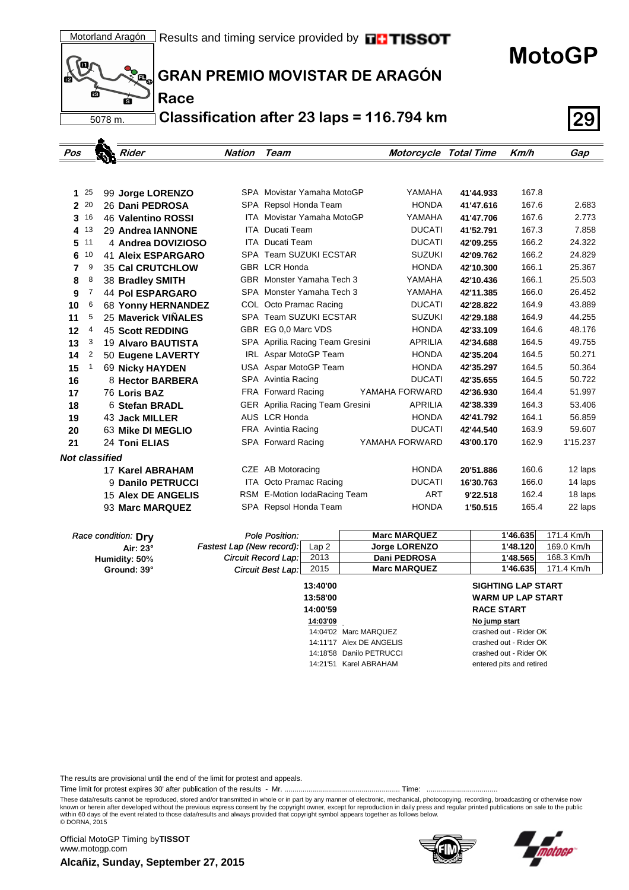(Q þ, пá б 5078 m.

.

**Race**

**GRAN PREMIO MOVISTAR DE ARAGÓN**

**Classification after 23 laps = 116.794 km 29**

| Pos                   |                | Rider                     | <b>Nation</b> | Team                                   | <b>Motorcycle Total Time</b> |           | Km/h  | Gap      |
|-----------------------|----------------|---------------------------|---------------|----------------------------------------|------------------------------|-----------|-------|----------|
|                       |                |                           |               |                                        |                              |           |       |          |
|                       |                |                           |               |                                        |                              |           |       |          |
| 1                     | 25             | 99 Jorge LORENZO          |               | SPA Movistar Yamaha MotoGP             | YAMAHA                       | 41'44.933 | 167.8 |          |
| $\overline{2}$        | 20             | 26 Dani PEDROSA           |               | SPA Repsol Honda Team                  | <b>HONDA</b>                 | 41'47.616 | 167.6 | 2.683    |
| 3                     | 16             | 46 Valentino ROSSI        |               | <b>ITA Movistar Yamaha MotoGP</b>      | YAMAHA                       | 41'47.706 | 167.6 | 2.773    |
| 4                     | 13             | 29 Andrea IANNONE         |               | <b>ITA</b> Ducati Team                 | <b>DUCATI</b>                | 41'52.791 | 167.3 | 7.858    |
| 5                     | 11             | 4 Andrea DOVIZIOSO        | <b>ITA</b>    | Ducati Team                            | <b>DUCATI</b>                | 42'09.255 | 166.2 | 24.322   |
| 6                     | 10             | <b>41 Aleix ESPARGARO</b> |               | SPA Team SUZUKI ECSTAR                 | <b>SUZUKI</b>                | 42'09.762 | 166.2 | 24.829   |
| 7                     | 9              | <b>35 Cal CRUTCHLOW</b>   |               | <b>GBR LCR Honda</b>                   | <b>HONDA</b>                 | 42'10.300 | 166.1 | 25.367   |
| 8                     | 8              | 38 Bradley SMITH          |               | GBR Monster Yamaha Tech 3              | YAMAHA                       | 42'10.436 | 166.1 | 25.503   |
| 9                     | 7              | <b>44 Pol ESPARGARO</b>   |               | SPA Monster Yamaha Tech 3              | YAMAHA                       | 42'11.385 | 166.0 | 26.452   |
| 10                    | 6              | <b>68 Yonny HERNANDEZ</b> |               | COL Octo Pramac Racing                 | <b>DUCATI</b>                | 42'28.822 | 164.9 | 43.889   |
| 11                    | 5              | 25 Maverick VIÑALES       |               | SPA Team SUZUKI ECSTAR                 | <b>SUZUKI</b>                | 42'29.188 | 164.9 | 44.255   |
| 12                    | 4              | <b>45 Scott REDDING</b>   |               | GBR EG 0.0 Marc VDS                    | <b>HONDA</b>                 | 42'33.109 | 164.6 | 48.176   |
| 13                    | 3              | 19 Alvaro BAUTISTA        |               | SPA Aprilia Racing Team Gresini        | APRILIA                      | 42'34.688 | 164.5 | 49.755   |
| 14                    | $\overline{2}$ | 50 Eugene LAVERTY         |               | IRL Aspar MotoGP Team                  | <b>HONDA</b>                 | 42'35.204 | 164.5 | 50.271   |
| 15                    | 1              | <b>69 Nicky HAYDEN</b>    |               | USA Aspar MotoGP Team                  | <b>HONDA</b>                 | 42'35.297 | 164.5 | 50.364   |
| 16                    |                | 8 Hector BARBERA          |               | SPA Avintia Racing                     | <b>DUCATI</b>                | 42'35.655 | 164.5 | 50.722   |
| 17                    |                | 76 Loris BAZ              |               | FRA Forward Racing                     | YAMAHA FORWARD               | 42'36.930 | 164.4 | 51.997   |
| 18                    |                | 6 Stefan BRADL            |               | <b>GER</b> Aprilia Racing Team Gresini | <b>APRILIA</b>               | 42'38.339 | 164.3 | 53.406   |
| 19                    |                | 43 Jack MILLER            |               | AUS LCR Honda                          | <b>HONDA</b>                 | 42'41.792 | 164.1 | 56.859   |
| 20                    |                | 63 Mike DI MEGLIO         |               | FRA Avintia Racing                     | <b>DUCATI</b>                | 42'44.540 | 163.9 | 59.607   |
| 21                    |                | 24 Toni ELIAS             |               | SPA Forward Racing                     | YAMAHA FORWARD               | 43'00.170 | 162.9 | 1'15.237 |
| <b>Not classified</b> |                |                           |               |                                        |                              |           |       |          |
|                       |                | 17 Karel ABRAHAM          |               | CZE AB Motoracing                      | <b>HONDA</b>                 | 20'51.886 | 160.6 | 12 laps  |
|                       |                | 9 Danilo PETRUCCI         |               | ITA Octo Pramac Racing                 | <b>DUCATI</b>                | 16'30.763 | 166.0 | 14 laps  |
|                       |                | <b>15 Alex DE ANGELIS</b> |               | RSM E-Motion IodaRacing Team           | <b>ART</b>                   | 9'22.518  | 162.4 | 18 laps  |
|                       |                | 93 Marc MARQUEZ           |               | SPA Repsol Honda Team                  | <b>HONDA</b>                 | 1'50.515  | 165.4 | 22 laps  |

| Race condition: Dry | Pole Position:             |          | <b>Marc MARQUEZ</b>  | 1'46.635                  | 171.4 Km/h |
|---------------------|----------------------------|----------|----------------------|---------------------------|------------|
| Air: $23^\circ$     | Fastest Lap (New record):  | Lap 2    | <b>Jorge LORENZO</b> | 1'48.120                  | 169.0 Km/h |
| Humidity: 50%       | <b>Circuit Record Lap:</b> | 2013     | Dani PEDROSA         | 1'48.565                  | 168.3 Km/h |
| Ground: 39°         | Circuit Best Lap: 2015     |          | <b>Marc MARQUEZ</b>  | 1'46.635                  | 171.4 Km/h |
|                     |                            | 13:40'00 |                      | <b>SIGHTING LAP START</b> |            |

| 13:40 OV |                          |
|----------|--------------------------|
| 13:58'00 |                          |
| 14:00'59 |                          |
| 14:03'09 |                          |
|          | 14:04'02 Marc MAROUFZ    |
|          | 14:11'17 Alex DF ANGFLIS |
|          | 14:18'58 Danilo PETRUCCI |
|          | 14:21'51 Karel ABRAHAM   |

### **13:58'00 WARM UP LAP START 14:00'59 RACE START No jump start** crashed out - Rider OK crashed out - Rider OK crashed out - Rider OK

**MotoGP**

entered pits and retired

The results are provisional until the end of the limit for protest and appeals.

Time limit for protest expires 30' after publication of the results - Mr. ......................................................... Time: ...................................

These data/results cannot be reproduced, stored and/or transmitted in whole or in part by any manner of electronic, mechanical, photocopying, recording, broadcasting or otherwise now<br>known or herein after developed without within 60 days of the event related to those data/results and always provided that copyright symbol appears together as follows below. © DORNA, 2015

**Alcañiz, Sunday, September 27, 2015** Official MotoGP Timing by **TISSOT**www.motogp.com



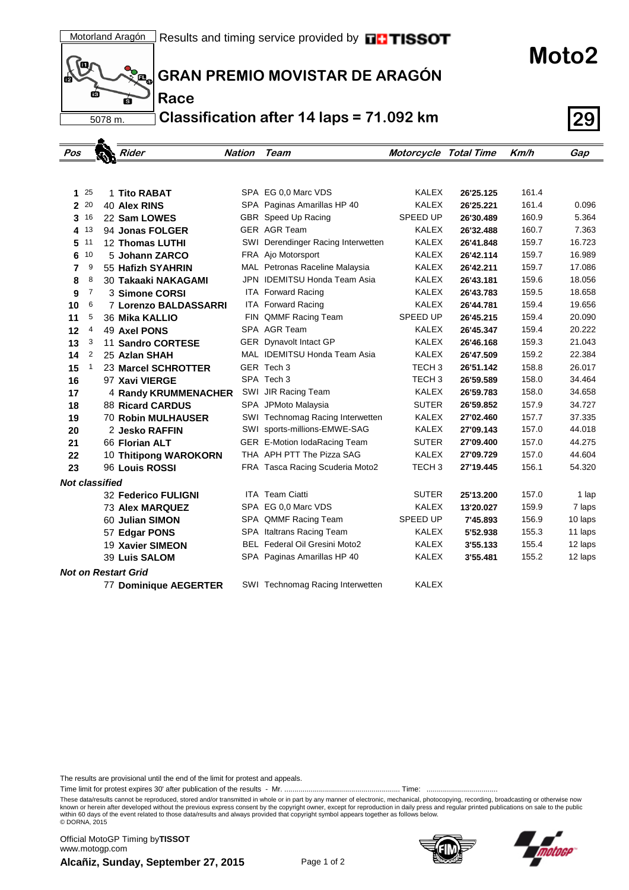

 $\blacktriangle$ 

**Race**

**GRAN PREMIO MOVISTAR DE ARAGÓN**

**Classification after 14 laps = 71.092 km 29**

| Pos                   |          | Rider                      | <b>Nation</b> | Team                                 | Motorcycle Total Time |           | Km/h  | Gap     |
|-----------------------|----------|----------------------------|---------------|--------------------------------------|-----------------------|-----------|-------|---------|
|                       |          |                            |               |                                      |                       |           |       |         |
|                       |          |                            |               |                                      |                       |           |       |         |
|                       | $1^{25}$ | 1 Tito RABAT               |               | SPA EG 0.0 Marc VDS                  | <b>KALEX</b>          | 26'25.125 | 161.4 |         |
| $\overline{2}$        | 20       | <b>40 Alex RINS</b>        |               | SPA Paginas Amarillas HP 40          | <b>KALEX</b>          | 26'25.221 | 161.4 | 0.096   |
| 3                     | 16       | 22 Sam LOWES               |               | GBR Speed Up Racing                  | SPEED UP              | 26'30.489 | 160.9 | 5.364   |
| 4                     | 13       | 94 Jonas FOLGER            |               | <b>GER AGR Team</b>                  | <b>KALEX</b>          | 26'32.488 | 160.7 | 7.363   |
| 5                     | 11       | <b>12 Thomas LUTHI</b>     |               | SWI Derendinger Racing Interwetten   | <b>KALEX</b>          | 26'41.848 | 159.7 | 16.723  |
| 6                     | 10       | 5 Johann ZARCO             |               | FRA Ajo Motorsport                   | <b>KALEX</b>          | 26'42.114 | 159.7 | 16.989  |
| 7                     | 9        | 55 Hafizh SYAHRIN          |               | MAL Petronas Raceline Malaysia       | <b>KALEX</b>          | 26'42.211 | 159.7 | 17.086  |
| 8                     | 8        | 30 Takaaki NAKAGAMI        |               | JPN IDEMITSU Honda Team Asia         | <b>KALEX</b>          | 26'43.181 | 159.6 | 18.056  |
| 9                     | 7        | 3 Simone CORSI             |               | <b>ITA Forward Racing</b>            | <b>KALEX</b>          | 26'43.783 | 159.5 | 18.658  |
| 10                    | 6        | 7 Lorenzo BALDASSARRI      |               | <b>ITA Forward Racing</b>            | <b>KALEX</b>          | 26'44.781 | 159.4 | 19.656  |
| 11                    | 5        | 36 Mika KALLIO             |               | FIN QMMF Racing Team                 | SPEED UP              | 26'45.215 | 159.4 | 20.090  |
| 12                    | 4        | 49 Axel PONS               |               | SPA AGR Team                         | <b>KALEX</b>          | 26'45.347 | 159.4 | 20.222  |
| 13                    | 3        | 11 Sandro CORTESE          |               | <b>GER</b> Dynavolt Intact GP        | <b>KALEX</b>          | 26'46.168 | 159.3 | 21.043  |
| 14                    | 2        | 25 Azlan SHAH              |               | MAL IDEMITSU Honda Team Asia         | <b>KALEX</b>          | 26'47.509 | 159.2 | 22.384  |
| 15                    | 1        | 23 Marcel SCHROTTER        |               | GER Tech 3                           | TECH <sub>3</sub>     | 26'51.142 | 158.8 | 26.017  |
| 16                    |          | 97 Xavi VIERGE             |               | SPA Tech 3                           | TECH <sub>3</sub>     | 26'59.589 | 158.0 | 34.464  |
| 17                    |          | 4 Randy KRUMMENACHER       |               | SWI JIR Racing Team                  | <b>KALEX</b>          | 26'59.783 | 158.0 | 34.658  |
| 18                    |          | <b>88 Ricard CARDUS</b>    |               | SPA JPMoto Malaysia                  | <b>SUTER</b>          | 26'59.852 | 157.9 | 34.727  |
| 19                    |          | <b>70 Robin MULHAUSER</b>  |               | SWI Technomag Racing Interwetten     | KALEX                 | 27'02.460 | 157.7 | 37.335  |
| 20                    |          | 2 Jesko RAFFIN             |               | SWI sports-millions-EMWE-SAG         | <b>KALEX</b>          | 27'09.143 | 157.0 | 44.018  |
| 21                    |          | 66 Florian ALT             |               | GER E-Motion IodaRacing Team         | <b>SUTER</b>          | 27'09.400 | 157.0 | 44.275  |
| 22                    |          | 10 Thitipong WAROKORN      |               | THA APH PTT The Pizza SAG            | KALEX                 | 27'09.729 | 157.0 | 44.604  |
| 23                    |          | 96 Louis ROSSI             |               | FRA Tasca Racing Scuderia Moto2      | TECH <sub>3</sub>     | 27'19.445 | 156.1 | 54.320  |
| <b>Not classified</b> |          |                            |               |                                      |                       |           |       |         |
|                       |          | <b>32 Federico FULIGNI</b> |               | <b>ITA Team Ciatti</b>               | <b>SUTER</b>          | 25'13.200 | 157.0 | 1 lap   |
|                       |          | <b>73 Alex MARQUEZ</b>     |               | SPA EG 0.0 Marc VDS                  | <b>KALEX</b>          | 13'20.027 | 159.9 | 7 laps  |
|                       |          | 60 Julian SIMON            |               | SPA QMMF Racing Team                 | SPEED UP              | 7'45.893  | 156.9 | 10 laps |
|                       |          | 57 Edgar PONS              |               | SPA Italtrans Racing Team            | <b>KALEX</b>          | 5'52.938  | 155.3 | 11 laps |
|                       |          | 19 Xavier SIMEON           |               | <b>BEL</b> Federal Oil Gresini Moto2 | <b>KALEX</b>          | 3'55.133  | 155.4 | 12 laps |
|                       |          | 39 Luis SALOM              |               | SPA Paginas Amarillas HP 40          | <b>KALEX</b>          | 3'55.481  | 155.2 | 12 laps |
|                       |          | <b>Not on Restart Grid</b> |               |                                      |                       |           |       |         |
|                       |          | 77 Dominique AEGERTER      |               | SWI Technomag Racing Interwetten     | <b>KALEX</b>          |           |       |         |

The results are provisional until the end of the limit for protest and appeals.

Time limit for protest expires 30' after publication of the results - Mr. ......................................................... Time: ...................................

These data/results cannot be reproduced, stored and/or transmitted in whole or in part by any manner of electronic, mechanical, photocopying, recording, broadcasting or otherwise now<br>known or herein after developed without within 60 days of the event related to those data/results and always provided that copyright symbol appears together as follows below. © DORNA, 2015

**Alcañiz, Sunday, September 27, 2015** Page 1 of 2 Official MotoGP Timing by **TISSOT**www.motogp.com





**Moto2**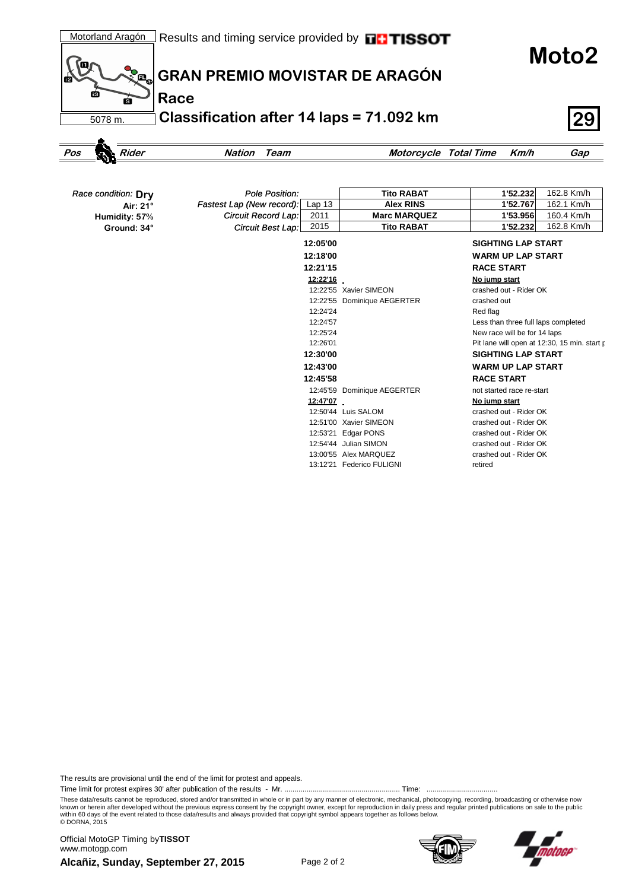**Moto2**



# **GRAN PREMIO MOVISTAR DE ARAGÓN**

**Classification after 14 laps = 71.092 km 29**

```
Pos Rider Nation Team Motorcycle Total Time Km/h Gap
```

| Race condition: Dry | Pole Position:                                 | <b>Tito RABAT</b>           | 1'52.232<br>162.8 Km/h                       |
|---------------------|------------------------------------------------|-----------------------------|----------------------------------------------|
| Air: 21°            | Fastest Lap (New record):<br>Lap <sub>13</sub> | <b>Alex RINS</b>            | 162.1 Km/h<br>1'52.767                       |
| Humidity: 57%       | Circuit Record Lap:<br>2011                    | <b>Marc MARQUEZ</b>         | 160.4 Km/h<br>1'53.956                       |
| Ground: 34°         | 2015<br>Circuit Best Lap:                      | <b>Tito RABAT</b>           | 162.8 Km/h<br>1'52.232                       |
|                     | 12:05'00                                       |                             | <b>SIGHTING LAP START</b>                    |
|                     | 12:18'00                                       |                             | <b>WARM UP LAP START</b>                     |
|                     | 12:21'15                                       |                             | <b>RACE START</b>                            |
|                     | <u>12:22'16</u>                                |                             | No jump start                                |
|                     |                                                | 12:22'55 Xavier SIMEON      | crashed out - Rider OK                       |
|                     |                                                | 12:22'55 Dominique AEGERTER | crashed out                                  |
|                     | 12:24'24                                       |                             | Red flag                                     |
|                     | 12:24'57                                       |                             | Less than three full laps completed          |
|                     | 12:25'24                                       |                             | New race will be for 14 laps                 |
|                     | 12:26'01                                       |                             | Pit lane will open at 12:30, 15 min. start p |
|                     | 12:30'00                                       |                             | <b>SIGHTING LAP START</b>                    |
|                     | 12:43'00                                       |                             | <b>WARM UP LAP START</b>                     |
|                     | 12:45'58                                       |                             | <b>RACE START</b>                            |
|                     |                                                | 12:45'59 Dominique AEGERTER | not started race re-start                    |
|                     | 12:47'07                                       |                             | No jump start                                |
|                     |                                                | 12:50'44 Luis SALOM         | crashed out - Rider OK                       |
|                     |                                                | 12:51'00 Xavier SIMEON      | crashed out - Rider OK                       |
|                     | 12:53'21                                       | Edgar PONS                  | crashed out - Rider OK                       |
|                     |                                                | 12:54'44 Julian SIMON       | crashed out - Rider OK                       |
|                     |                                                | 13:00'55 Alex MARQUEZ       | crashed out - Rider OK                       |

13:12'21 Federico FULIGNI retired

The results are provisional until the end of the limit for protest and appeals.

Time limit for protest expires 30' after publication of the results - Mr. ......................................................... Time: ...................................

These data/results cannot be reproduced, stored and/or transmitted in whole or in part by any manner of electronic, mechanical, photocopying, recording, broadcasting or otherwise now<br>known or herein after developed without within 60 days of the event related to those data/results and always provided that copyright symbol appears together as follows below. © DORNA, 2015

**Alcañiz, Sunday, September 27, 2015** Page 2 of 2 Official MotoGP Timing by **TISSOT**www.motogp.com



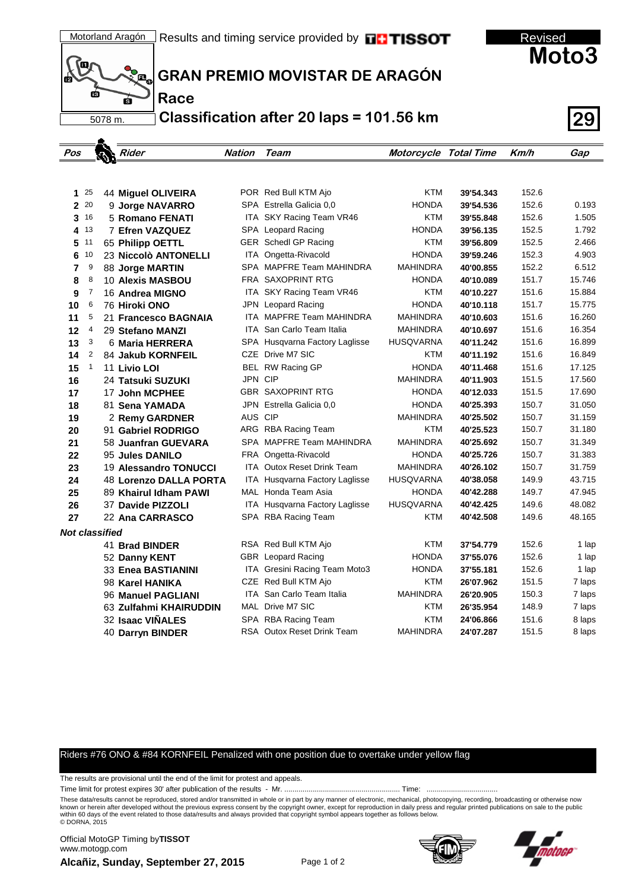



**Race**

## **GRAN PREMIO MOVISTAR DE ARAGÓN**

**Classification after 20 laps = 101.56 km 29**

| Pos            |              | Rider                  | Nation  | Team                                  | Motorcycle Total Time |           | Km/h  | Gap    |
|----------------|--------------|------------------------|---------|---------------------------------------|-----------------------|-----------|-------|--------|
|                |              |                        |         |                                       |                       |           |       |        |
|                |              |                        |         |                                       |                       |           |       |        |
| 1.             | 25           | 44 Miguel OLIVEIRA     |         | POR Red Bull KTM Ajo                  | <b>KTM</b>            | 39'54.343 | 152.6 |        |
|                | 2 20         | 9 Jorge NAVARRO        |         | SPA Estrella Galicia 0.0              | <b>HONDA</b>          | 39'54.536 | 152.6 | 0.193  |
| 3              | 16           | 5 Romano FENATI        |         | ITA SKY Racing Team VR46              | <b>KTM</b>            | 39'55.848 | 152.6 | 1.505  |
|                | 4 13         | 7 Efren VAZQUEZ        |         | SPA Leopard Racing                    | <b>HONDA</b>          | 39'56.135 | 152.5 | 1.792  |
| 5              | 11           | 65 Philipp OETTL       |         | GER Schedl GP Racing                  | <b>KTM</b>            | 39'56.809 | 152.5 | 2.466  |
| 6              | 10           | 23 Niccolò ANTONELLI   | ITA     | Ongetta-Rivacold                      | <b>HONDA</b>          | 39'59.246 | 152.3 | 4.903  |
| 7              | 9            | 88 Jorge MARTIN        |         | SPA MAPFRE Team MAHINDRA              | <b>MAHINDRA</b>       | 40'00.855 | 152.2 | 6.512  |
| 8              | 8            | 10 Alexis MASBOU       |         | FRA SAXOPRINT RTG                     | <b>HONDA</b>          | 40'10.089 | 151.7 | 15.746 |
| 9              | 7            | 16 Andrea MIGNO        |         | ITA SKY Racing Team VR46              | <b>KTM</b>            | 40'10.227 | 151.6 | 15.884 |
| 10             | 6            | 76 Hiroki ONO          |         | <b>JPN</b> Leopard Racing             | <b>HONDA</b>          | 40'10.118 | 151.7 | 15.775 |
| 11             | 5            | 21 Francesco BAGNAIA   |         | ITA MAPFRE Team MAHINDRA              | <b>MAHINDRA</b>       | 40'10.603 | 151.6 | 16.260 |
| 12             | 4            | 29 Stefano MANZI       |         | <b>ITA</b> San Carlo Team Italia      | <b>MAHINDRA</b>       | 40'10.697 | 151.6 | 16.354 |
| 13             | 3            | 6 Maria HERRERA        |         | SPA Husqvarna Factory Laglisse        | <b>HUSQVARNA</b>      | 40'11.242 | 151.6 | 16.899 |
| 14             | 2            | 84 Jakub KORNFEIL      |         | CZE Drive M7 SIC                      | <b>KTM</b>            | 40'11.192 | 151.6 | 16.849 |
| 15             | $\mathbf{1}$ | 11 Livio LOI           |         | BEL RW Racing GP                      | <b>HONDA</b>          | 40'11.468 | 151.6 | 17.125 |
| 16             |              | 24 Tatsuki SUZUKI      | JPN CIP |                                       | <b>MAHINDRA</b>       | 40'11.903 | 151.5 | 17.560 |
| 17             |              | 17 John MCPHEE         |         | <b>GBR SAXOPRINT RTG</b>              | <b>HONDA</b>          | 40'12.033 | 151.5 | 17.690 |
| 18             |              | 81 Sena YAMADA         |         | JPN Estrella Galicia 0,0              | <b>HONDA</b>          | 40'25.393 | 150.7 | 31.050 |
| 19             |              | 2 Remy GARDNER         | AUS CIP |                                       | <b>MAHINDRA</b>       | 40'25.502 | 150.7 | 31.159 |
| 20             |              | 91 Gabriel RODRIGO     |         | ARG RBA Racing Team                   | <b>KTM</b>            | 40'25.523 | 150.7 | 31.180 |
| 21             |              | 58 Juanfran GUEVARA    |         | SPA MAPFRE Team MAHINDRA              | <b>MAHINDRA</b>       | 40'25.692 | 150.7 | 31.349 |
| 22             |              | 95 Jules DANILO        |         | FRA Ongetta-Rivacold                  | <b>HONDA</b>          | 40'25.726 | 150.7 | 31.383 |
| 23             |              | 19 Alessandro TONUCCI  |         | ITA Outox Reset Drink Team            | <b>MAHINDRA</b>       | 40'26.102 | 150.7 | 31.759 |
| 24             |              | 48 Lorenzo DALLA PORTA |         | <b>ITA Husqvarna Factory Laglisse</b> | <b>HUSQVARNA</b>      | 40'38.058 | 149.9 | 43.715 |
| 25             |              | 89 Khairul Idham PAWI  |         | MAL Honda Team Asia                   | <b>HONDA</b>          | 40'42.288 | 149.7 | 47.945 |
| 26             |              | 37 Davide PIZZOLI      |         | ITA Husqvarna Factory Laglisse        | <b>HUSQVARNA</b>      | 40'42.425 | 149.6 | 48.082 |
| 27             |              | 22 Ana CARRASCO        |         | SPA RBA Racing Team                   | <b>KTM</b>            | 40'42.508 | 149.6 | 48.165 |
| Not classified |              |                        |         |                                       |                       |           |       |        |
|                |              | 41 Brad BINDER         |         | RSA Red Bull KTM Ajo                  | <b>KTM</b>            | 37'54.779 | 152.6 | 1 lap  |
|                |              | 52 Danny KENT          |         | GBR Leopard Racing                    | <b>HONDA</b>          | 37'55.076 | 152.6 | 1 lap  |
|                |              | 33 Enea BASTIANINI     |         | ITA Gresini Racing Team Moto3         | <b>HONDA</b>          | 37'55.181 | 152.6 | 1 lap  |
|                |              | 98 Karel HANIKA        |         | CZE Red Bull KTM Ajo                  | <b>KTM</b>            | 26'07.962 | 151.5 | 7 laps |
|                |              | 96 Manuel PAGLIANI     |         | <b>ITA</b> San Carlo Team Italia      | <b>MAHINDRA</b>       | 26'20.905 | 150.3 | 7 laps |
|                |              | 63 Zulfahmi KHAIRUDDIN |         | MAL Drive M7 SIC                      | <b>KTM</b>            | 26'35.954 | 148.9 | 7 laps |
|                |              | 32 Isaac VIÑALES       |         | SPA RBA Racing Team                   | <b>KTM</b>            | 24'06.866 | 151.6 | 8 laps |
|                |              | 40 Darryn BINDER       |         | RSA Outox Reset Drink Team            | <b>MAHINDRA</b>       | 24'07.287 | 151.5 | 8 laps |

### Riders #76 ONO & #84 KORNFEIL Penalized with one position due to overtake under yellow flag

The results are provisional until the end of the limit for protest and appeals.

Time limit for protest expires 30' after publication of the results - Mr. ......................................................... Time: ...................................

These data/results cannot be reproduced, stored and/or transmitted in whole or in part by any manner of electronic, mechanical, photocopying, recording, broadcasting or otherwise now<br>known or herein after developed without within 60 days of the event related to those data/results and always provided that copyright symbol appears together as follows below. © DORNA, 2015

**Alcañiz, Sunday, September 27, 2015** Official MotoGP Timing by **TISSOT**www.motogp.com



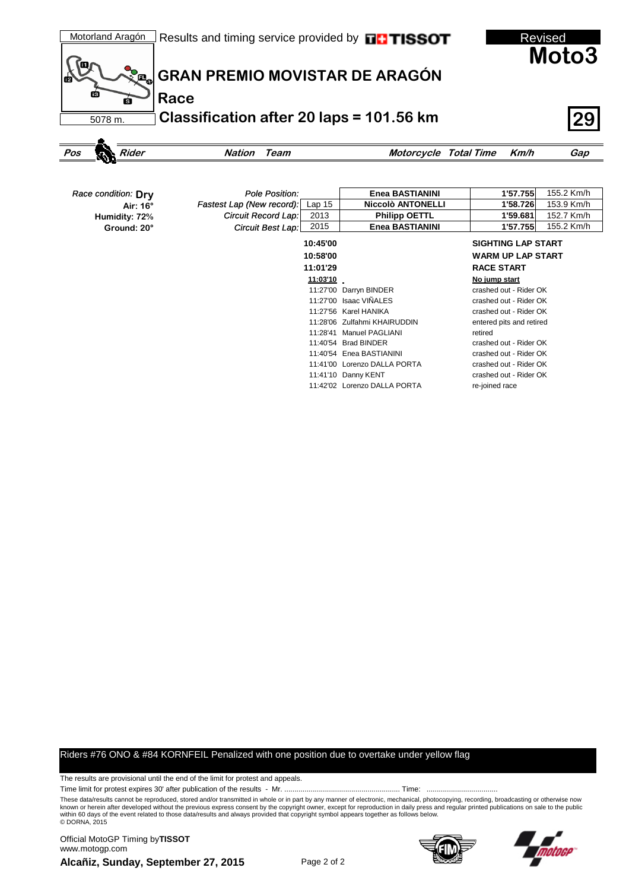

| Race condition: Dry | Pole Position:            |                   | Enea BASTIANINI              | 1'57.755                  | 155.2 Km/h |  |
|---------------------|---------------------------|-------------------|------------------------------|---------------------------|------------|--|
| Air: 16°            | Fastest Lap (New record): | Lap <sub>15</sub> | <b>Niccolò ANTONELLI</b>     | 1'58.726                  | 153.9 Km/h |  |
| Humidity: 72%       | Circuit Record Lap:       | 2013              | <b>Philipp OETTL</b>         | 1'59.681                  | 152.7 Km/h |  |
| Ground: 20°         | <b>Circuit Best Lap:</b>  | 2015              | Enea BASTIANINI              | 1'57.755                  | 155.2 Km/h |  |
|                     |                           | 10:45'00          |                              | <b>SIGHTING LAP START</b> |            |  |
|                     |                           | 10:58'00          |                              | <b>WARM UP LAP START</b>  |            |  |
|                     |                           | 11:01'29          |                              | <b>RACE START</b>         |            |  |
|                     |                           | 11:03'10          |                              | No jump start             |            |  |
|                     |                           |                   | 11:27'00 Darryn BINDER       | crashed out - Rider OK    |            |  |
|                     |                           |                   | 11:27'00 Isaac VIÑALES       | crashed out - Rider OK    |            |  |
|                     |                           |                   | 11:27'56 Karel HANIKA        | crashed out - Rider OK    |            |  |
|                     |                           |                   | 11:28'06 Zulfahmi KHAIRUDDIN | entered pits and retired  |            |  |
|                     |                           | 11:28'41          | <b>Manuel PAGLIANI</b>       | retired                   |            |  |
|                     |                           | 11:40'54          | <b>Brad BINDER</b>           | crashed out - Rider OK    |            |  |
|                     |                           |                   | 11:40'54 Enea BASTIANINI     | crashed out - Rider OK    |            |  |
|                     |                           |                   | 11:41'00 Lorenzo DALLA PORTA | crashed out - Rider OK    |            |  |
|                     |                           |                   | 11:41'10 Danny KENT          | crashed out - Rider OK    |            |  |

11:42'02 Lorenzo DALLA PORTA re-joined race

#### Riders #76 ONO & #84 KORNFEIL Penalized with one position due to overtake under yellow flag

The results are provisional until the end of the limit for protest and appeals.

Time limit for protest expires 30' after publication of the results - Mr. ......................................................... Time: ...................................

These data/results cannot be reproduced, stored and/or transmitted in whole or in part by any manner of electronic, mechanical, photocopying, recording, broadcasting or otherwise now<br>known or herein after developed without within 60 days of the event related to those data/results and always provided that copyright symbol appears together as follows below. © DORNA, 2015

**Alcañiz, Sunday, September 27, 2015** Official MotoGP Timing by **TISSOT**www.motogp.com



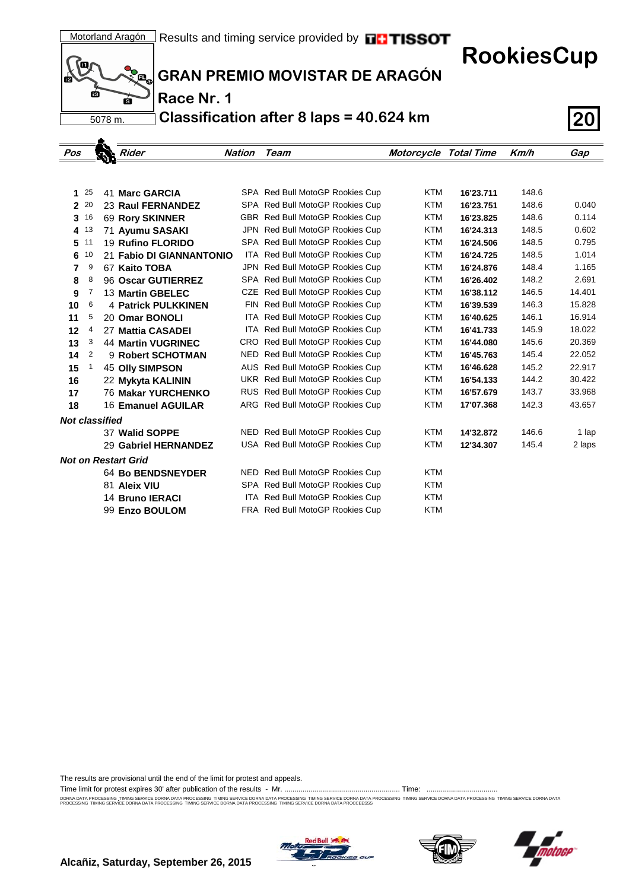**RookiesCup**



A

**GRAN PREMIO MOVISTAR DE ARAGÓN**

**Race Nr. 1**

**Classification after 8 laps = 40.624 km 20**

| Pos                   |          | $\boldsymbol{\phi}$ | $\blacktriangleright$ Rider | <b>Nation</b> | Team                            | Motorcycle Total Time |           | Km/h  | Gap    |
|-----------------------|----------|---------------------|-----------------------------|---------------|---------------------------------|-----------------------|-----------|-------|--------|
|                       |          |                     |                             |               |                                 |                       |           |       |        |
|                       |          |                     |                             |               |                                 |                       |           |       |        |
| 1                     | 25       |                     | 41 Marc GARCIA              |               | SPA Red Bull MotoGP Rookies Cup | <b>KTM</b>            | 16'23.711 | 148.6 |        |
|                       | 2 20     |                     | <b>23 Raul FERNANDEZ</b>    |               | SPA Red Bull MotoGP Rookies Cup | <b>KTM</b>            | 16'23.751 | 148.6 | 0.040  |
| 3                     | 16       |                     | 69 Rory SKINNER             |               | GBR Red Bull MotoGP Rookies Cup | <b>KTM</b>            | 16'23.825 | 148.6 | 0.114  |
|                       | 4 13     |                     | 71 Ayumu SASAKI             |               | JPN Red Bull MotoGP Rookies Cup | <b>KTM</b>            | 16'24.313 | 148.5 | 0.602  |
|                       | $5^{11}$ |                     | 19 Rufino FLORIDO           |               | SPA Red Bull MotoGP Rookies Cup | <b>KTM</b>            | 16'24.506 | 148.5 | 0.795  |
| 6                     | 10       |                     | 21 Fabio DI GIANNANTONIO    |               | ITA Red Bull MotoGP Rookies Cup | <b>KTM</b>            | 16'24.725 | 148.5 | 1.014  |
| 7                     | 9        |                     | 67 Kaito TOBA               |               | JPN Red Bull MotoGP Rookies Cup | <b>KTM</b>            | 16'24.876 | 148.4 | 1.165  |
| 8                     | 8        |                     | 96 Oscar GUTIERREZ          |               | SPA Red Bull MotoGP Rookies Cup | <b>KTM</b>            | 16'26.402 | 148.2 | 2.691  |
| 9                     | 7        |                     | 13 Martin GBELEC            |               | CZE Red Bull MotoGP Rookies Cup | <b>KTM</b>            | 16'38.112 | 146.5 | 14.401 |
| 10                    | 6        |                     | <b>4 Patrick PULKKINEN</b>  |               | FIN Red Bull MotoGP Rookies Cup | <b>KTM</b>            | 16'39.539 | 146.3 | 15.828 |
| 11                    | 5        |                     | 20 Omar BONOLI              |               | ITA Red Bull MotoGP Rookies Cup | <b>KTM</b>            | 16'40.625 | 146.1 | 16.914 |
| 12                    | 4        |                     | 27 Mattia CASADEI           |               | ITA Red Bull MotoGP Rookies Cup | <b>KTM</b>            | 16'41.733 | 145.9 | 18.022 |
| 13                    | 3        |                     | <b>44 Martin VUGRINEC</b>   |               | CRO Red Bull MotoGP Rookies Cup | <b>KTM</b>            | 16'44.080 | 145.6 | 20.369 |
| 14                    | 2        |                     | 9 Robert SCHOTMAN           |               | NED Red Bull MotoGP Rookies Cup | <b>KTM</b>            | 16'45.763 | 145.4 | 22.052 |
| 15                    | 1        |                     | <b>45 Olly SIMPSON</b>      |               | AUS Red Bull MotoGP Rookies Cup | <b>KTM</b>            | 16'46.628 | 145.2 | 22.917 |
| 16                    |          |                     | 22 Mykyta KALININ           |               | UKR Red Bull MotoGP Rookies Cup | <b>KTM</b>            | 16'54.133 | 144.2 | 30.422 |
| 17                    |          |                     | <b>76 Makar YURCHENKO</b>   |               | RUS Red Bull MotoGP Rookies Cup | <b>KTM</b>            | 16'57.679 | 143.7 | 33.968 |
| 18                    |          |                     | 16 Emanuel AGUILAR          |               | ARG Red Bull MotoGP Rookies Cup | <b>KTM</b>            | 17'07.368 | 142.3 | 43.657 |
| <b>Not classified</b> |          |                     |                             |               |                                 |                       |           |       |        |
|                       |          |                     | 37 Walid SOPPE              |               | NED Red Bull MotoGP Rookies Cup | <b>KTM</b>            | 14'32.872 | 146.6 | 1 lap  |
|                       |          |                     | 29 Gabriel HERNANDEZ        |               | USA Red Bull MotoGP Rookies Cup | <b>KTM</b>            | 12'34.307 | 145.4 | 2 laps |
|                       |          |                     | <b>Not on Restart Grid</b>  |               |                                 |                       |           |       |        |
|                       |          |                     | <b>64 Bo BENDSNEYDER</b>    |               | NED Red Bull MotoGP Rookies Cup | <b>KTM</b>            |           |       |        |
|                       |          |                     | 81 Aleix VIU                |               | SPA Red Bull MotoGP Rookies Cup | <b>KTM</b>            |           |       |        |
|                       |          |                     | 14 Bruno IERACI             |               | ITA Red Bull MotoGP Rookies Cup | <b>KTM</b>            |           |       |        |
|                       |          |                     | 99 Enzo BOULOM              |               | FRA Red Bull MotoGP Rookies Cup | <b>KTM</b>            |           |       |        |
|                       |          |                     |                             |               |                                 |                       |           |       |        |

The results are provisional until the end of the limit for protest and appeals.

Time limit for protest expires 30' after publication of the results - Mr. ......................................................... Time: ...................................

DORNA DATA PROCESSING. TIMING SERVICE DORNA DATA PROCESSING TIMING SERVICE DORNA DRA TIMING SERVICE DORNA DATA PROCESSING TIMING SERVICE DORNA DATA PROCESSING TIMING SERVICE DORNA DATA PROCESSING TIMING SERVICE DORNA DATA





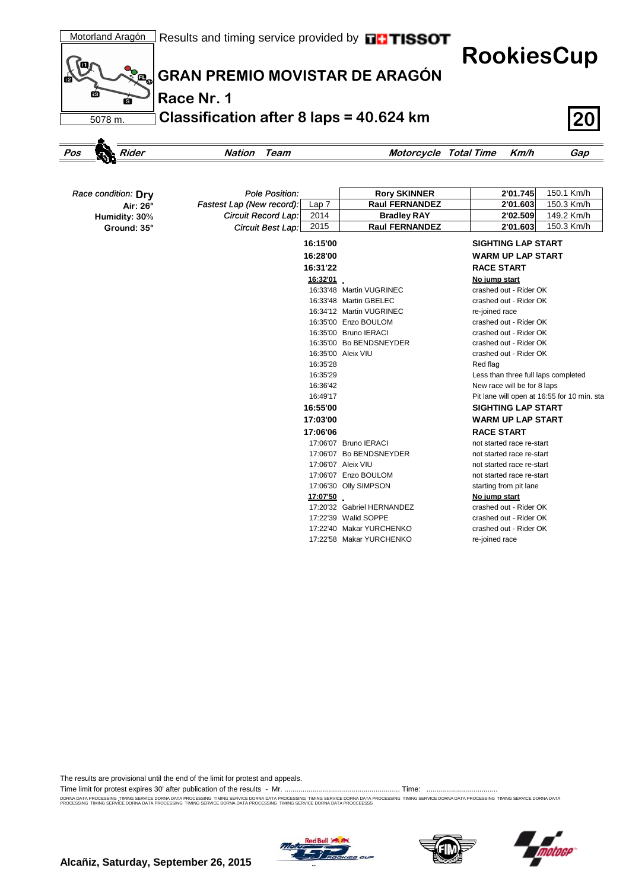

| Race condition: Dry | <b>Pole Position:</b>                         | <b>Rory SKINNER</b>        | 2'01.745<br>150.1 Km/h                      |
|---------------------|-----------------------------------------------|----------------------------|---------------------------------------------|
| Air: 26°            | Fastest Lap (New record):<br>Lap <sub>7</sub> | <b>Raul FERNANDEZ</b>      | 150.3 Km/h<br>2'01.603                      |
| Humidity: 30%       | Circuit Record Lap:<br>2014                   | <b>Bradley RAY</b>         | 149.2 Km/h<br>2'02.509                      |
| Ground: 35°         | 2015<br>Circuit Best Lap:                     | <b>Raul FERNANDEZ</b>      | 150.3 Km/h<br>2'01.603                      |
|                     | 16:15'00                                      |                            | <b>SIGHTING LAP START</b>                   |
|                     | 16:28'00                                      |                            | <b>WARM UP LAP START</b>                    |
|                     | 16:31'22                                      |                            | <b>RACE START</b>                           |
|                     | 16:32'01                                      |                            | No jump start                               |
|                     |                                               | 16:33'48 Martin VUGRINEC   | crashed out - Rider OK                      |
|                     |                                               | 16:33'48 Martin GBELEC     | crashed out - Rider OK                      |
|                     |                                               | 16:34'12 Martin VUGRINEC   | re-joined race                              |
|                     |                                               | 16:35'00 Enzo BOULOM       | crashed out - Rider OK                      |
|                     |                                               | 16:35'00 Bruno IERACI      | crashed out - Rider OK                      |
|                     |                                               | 16:35'00 Bo BENDSNEYDER    | crashed out - Rider OK                      |
|                     |                                               | 16:35'00 Aleix VIU         | crashed out - Rider OK                      |
|                     | 16:35'28                                      |                            | Red flag                                    |
|                     | 16:35'29                                      |                            | Less than three full laps completed         |
|                     | 16:36'42                                      |                            | New race will be for 8 laps                 |
|                     | 16:49'17                                      |                            | Pit lane will open at 16:55 for 10 min. sta |
|                     | 16:55'00                                      |                            | <b>SIGHTING LAP START</b>                   |
|                     | 17:03'00                                      |                            | <b>WARM UP LAP START</b>                    |
|                     | 17:06'06                                      |                            | <b>RACE START</b>                           |
|                     |                                               | 17:06'07 Bruno IERACI      | not started race re-start                   |
|                     |                                               | 17:06'07 Bo BENDSNEYDER    | not started race re-start                   |
|                     |                                               | 17:06'07 Aleix VIU         | not started race re-start                   |
|                     |                                               | 17:06'07 Enzo BOULOM       | not started race re-start                   |
|                     |                                               | 17:06'30 Olly SIMPSON      | starting from pit lane                      |
|                     | 17:07'50                                      |                            | No jump start                               |
|                     |                                               | 17:20'32 Gabriel HERNANDEZ | crashed out - Rider OK                      |
|                     |                                               | 17:22'39 Walid SOPPE       | crashed out - Rider OK                      |
|                     |                                               | 17:22'40 Makar YURCHENKO   | crashed out - Rider OK                      |
|                     |                                               | 17:22'58 Makar YURCHENKO   | re-joined race                              |

The results are provisional until the end of the limit for protest and appeals.

Time limit for protest expires 30' after publication of the results - Mr. ......................................................... Time: ...................................

DORNA DATA PROCESSING. TIMING SERVICE DORNA DATA PROCESSING TIMING SERVICE DORNA DRA TIMING SERVICE DORNA DATA PROCESSING TIMING SERVICE DORNA DATA PROCESSING TIMING SERVICE DORNA DATA PROCESSING TIMING SERVICE DORNA DATA